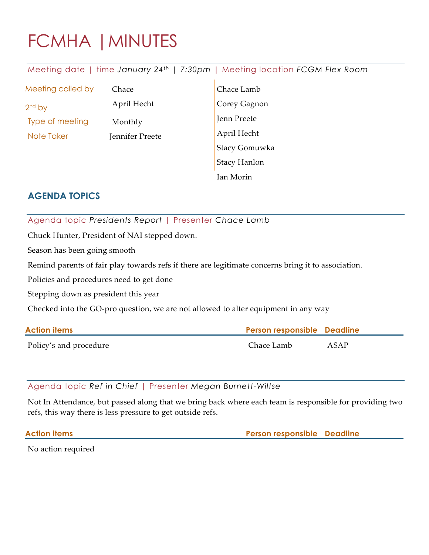# FCMHA |MINUTES

Meeting date | time *January 24th | 7:30pm* | Meeting location *FCGM Flex Room*

Meeting called by

2nd by Type of meeting Monthly

April Hecht Note Taker Jennifer Preete

Chace

Chace Lamb Corey Gagnon Jenn Preete April Hecht Stacy Gomuwka Stacy Hanlon Ian Morin

## **AGENDA TOPICS**

### Agenda topic *Presidents Report* | Presenter *Chace Lamb*

Chuck Hunter, President of NAI stepped down.

Season has been going smooth

Remind parents of fair play towards refs if there are legitimate concerns bring it to association.

Policies and procedures need to get done

Stepping down as president this year

Checked into the GO-pro question, we are not allowed to alter equipment in any way

| <b>Action items</b>    | <b>Person responsible Deadline</b> |      |
|------------------------|------------------------------------|------|
| Policy's and procedure | Chace Lamb                         | ASAP |

#### Agenda topic *Ref in Chief* | Presenter *Megan Burnett-Wiltse*

Not In Attendance, but passed along that we bring back where each team is responsible for providing two refs, this way there is less pressure to get outside refs.

**Action items Person responsible Deadline**

No action required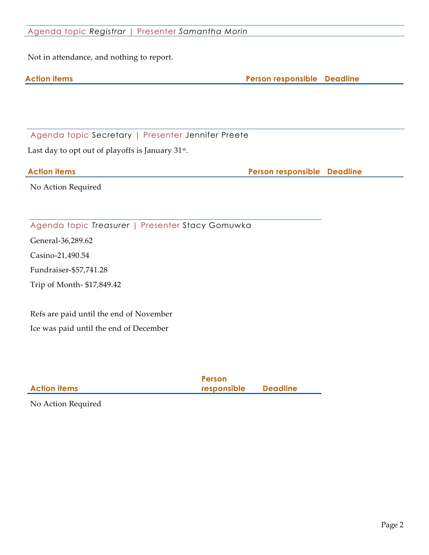#### Agenda topic *Registrar* | Presenter *Samantha Morin*

Not in attendance, and nothing to report.

|--|

**Action items Person responsible Deadline**

Agenda topic Secretary | Presenter Jennifer Preete

Last day to opt out of playoffs is January 31st.

**Action items Person responsible Deadline**

No Action Required

Agenda topic *Treasurer* | Presenter Stacy Gomuwka

General-36,289.62

Casino-21,490.54

Fundraiser-\$57,741.28

Trip of Month- \$17,849.42

Refs are paid until the end of November Ice was paid until the end of December

|                     | Person      |                 |
|---------------------|-------------|-----------------|
| <b>Action items</b> | responsible | <b>Deadline</b> |
|                     |             |                 |

No Action Required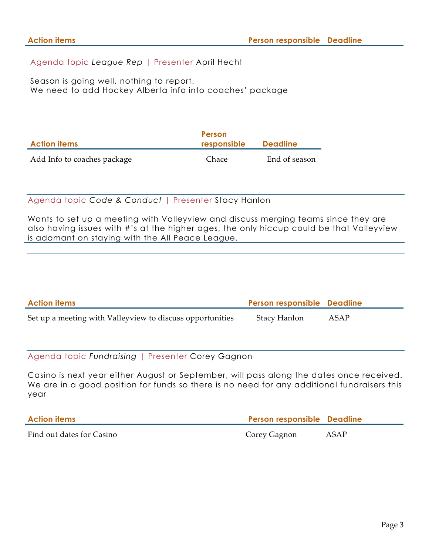Agenda topic *League Rep* | Presenter April Hecht

Season is going well, nothing to report. We need to add Hockey Alberta info into coaches' package

| <b>Action items</b>         | Person<br>responsible | <b>Deadline</b> |
|-----------------------------|-----------------------|-----------------|
| Add Info to coaches package | Chace                 | End of season   |

#### Agenda topic *Code & Conduct* | Presenter Stacy Hanlon

Wants to set up a meeting with Valleyview and discuss merging teams since they are also having issues with #'s at the higher ages, the only hiccup could be that Valleyview is adamant on staying with the All Peace League.

| <b>Action items</b>                                       | <b>Person responsible Deadline</b> |      |
|-----------------------------------------------------------|------------------------------------|------|
| Set up a meeting with Valleyview to discuss opportunities | Stacy Hanlon                       | ASAP |

Agenda topic *Fundraising* | Presenter Corey Gagnon

Casino is next year either August or September, will pass along the dates once received. We are in a good position for funds so there is no need for any additional fundraisers this year

| <b>Action items</b>       | <b>Person responsible Deadline</b> |      |
|---------------------------|------------------------------------|------|
| Find out dates for Casino | Corey Gagnon                       | ASAP |